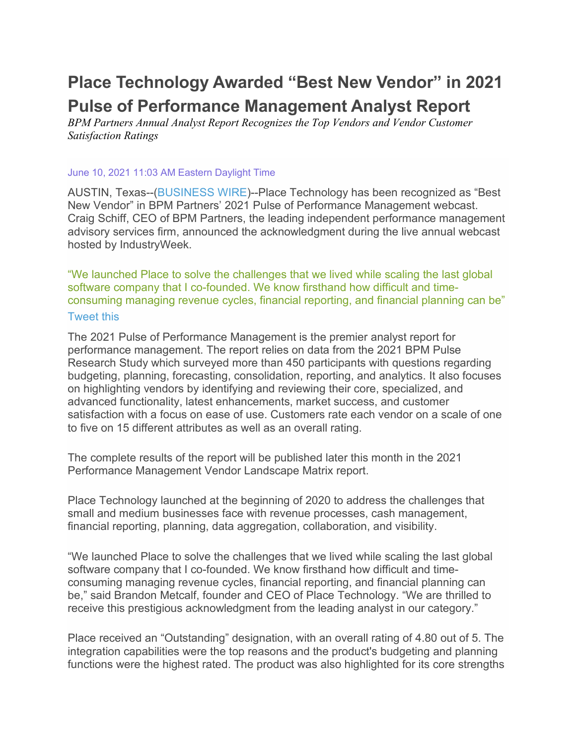# **Place Technology Awarded "Best New Vendor" in 2021 Pulse of Performance Management Analyst Report**

*BPM Partners Annual Analyst Report Recognizes the Top Vendors and Vendor Customer Satisfaction Ratings*

#### June 10, 2021 11:03 AM Eastern Daylight Time

AUSTIN, Texas--[\(BUSINESS WIRE\)](https://www.businesswire.com/)--Place Technology has been recognized as "Best New Vendor" in BPM Partners' 2021 Pulse of Performance Management webcast. Craig Schiff, CEO of BPM Partners, the leading independent performance management advisory services firm, announced the acknowledgment during the live annual webcast hosted by IndustryWeek.

"We launched Place to solve the challenges that we lived while scaling the last global software company that I co-founded. We know firsthand how difficult and timeconsuming managing revenue cycles, financial reporting, and financial planning can be" [Tweet](https://www.businesswire.com/news/home/20210610005685/en/Place-Technology-Awarded-%E2%80%9CBest-New-Vendor%E2%80%9D-in-2021-Pulse-of-Performance-Management-Analyst-Report) this

The 2021 Pulse of Performance Management is the premier analyst report for performance management. The report relies on data from the 2021 BPM Pulse Research Study which surveyed more than 450 participants with questions regarding budgeting, planning, forecasting, consolidation, reporting, and analytics. It also focuses on highlighting vendors by identifying and reviewing their core, specialized, and advanced functionality, latest enhancements, market success, and customer satisfaction with a focus on ease of use. Customers rate each vendor on a scale of one to five on 15 different attributes as well as an overall rating.

The complete results of the report will be published later this month in the 2021 Performance Management Vendor Landscape Matrix report.

Place Technology launched at the beginning of 2020 to address the challenges that small and medium businesses face with revenue processes, cash management, financial reporting, planning, data aggregation, collaboration, and visibility.

"We launched Place to solve the challenges that we lived while scaling the last global software company that I co-founded. We know firsthand how difficult and timeconsuming managing revenue cycles, financial reporting, and financial planning can be," said Brandon Metcalf, founder and CEO of Place Technology. "We are thrilled to receive this prestigious acknowledgment from the leading analyst in our category."

Place received an "Outstanding" designation, with an overall rating of 4.80 out of 5. The integration capabilities were the top reasons and the product's budgeting and planning functions were the highest rated. The product was also highlighted for its core strengths